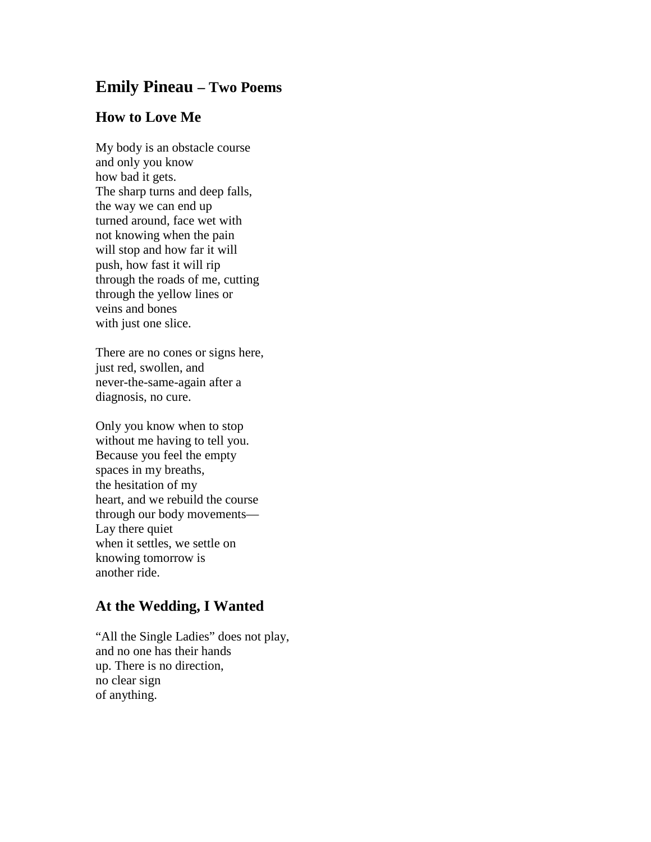## **Emily Pineau – Two Poems**

## **How to Love Me**

My body is an obstacle course and only you know how bad it gets. The sharp turns and deep falls, the way we can end up turned around, face wet with not knowing when the pain will stop and how far it will push, how fast it will rip through the roads of me, cutting through the yellow lines or veins and bones with just one slice.

There are no cones or signs here, just red, swollen, and never-the-same-again after a diagnosis, no cure.

Only you know when to stop without me having to tell you. Because you feel the empty spaces in my breaths, the hesitation of my heart, and we rebuild the course through our body movements— Lay there quiet when it settles, we settle on knowing tomorrow is another ride.

## **At the Wedding, I Wanted**

"All the Single Ladies" does not play, and no one has their hands up. There is no direction, no clear sign of anything.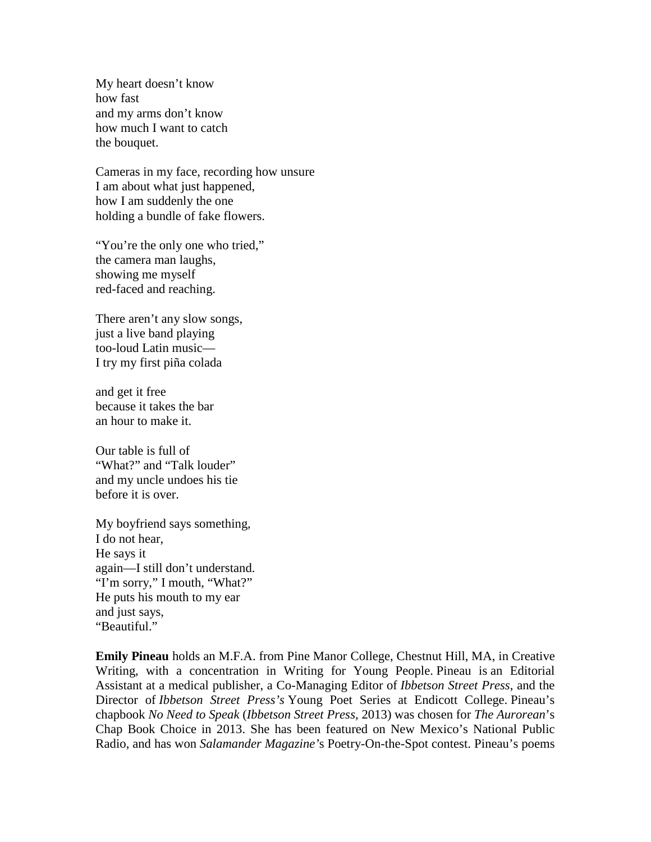My heart doesn't know how fast and my arms don't know how much I want to catch the bouquet.

Cameras in my face, recording how unsure I am about what just happened, how I am suddenly the one holding a bundle of fake flowers.

"You're the only one who tried," the camera man laughs, showing me myself red-faced and reaching.

There aren't any slow songs, just a live band playing too-loud Latin music— I try my first piña colada

and get it free because it takes the bar an hour to make it.

Our table is full of "What?" and "Talk louder" and my uncle undoes his tie before it is over.

My boyfriend says something, I do not hear, He says it again—I still don't understand. "I'm sorry," I mouth, "What?" He puts his mouth to my ear and just says, "Beautiful."

**Emily Pineau** holds an M.F.A. from Pine Manor College, Chestnut Hill, MA, in Creative Writing, with a concentration in Writing for Young People. Pineau is an Editorial Assistant at a medical publisher, a Co-Managing Editor of *Ibbetson Street Press*, and the Director of *Ibbetson Street Press's* Young Poet Series at Endicott College. Pineau's chapbook *No Need to Speak* (*Ibbetson Street Press*, 2013) was chosen for *The Aurorean*'s Chap Book Choice in 2013. She has been featured on New Mexico's National Public Radio, and has won *Salamander Magazine'*s Poetry-On-the-Spot contest. Pineau's poems